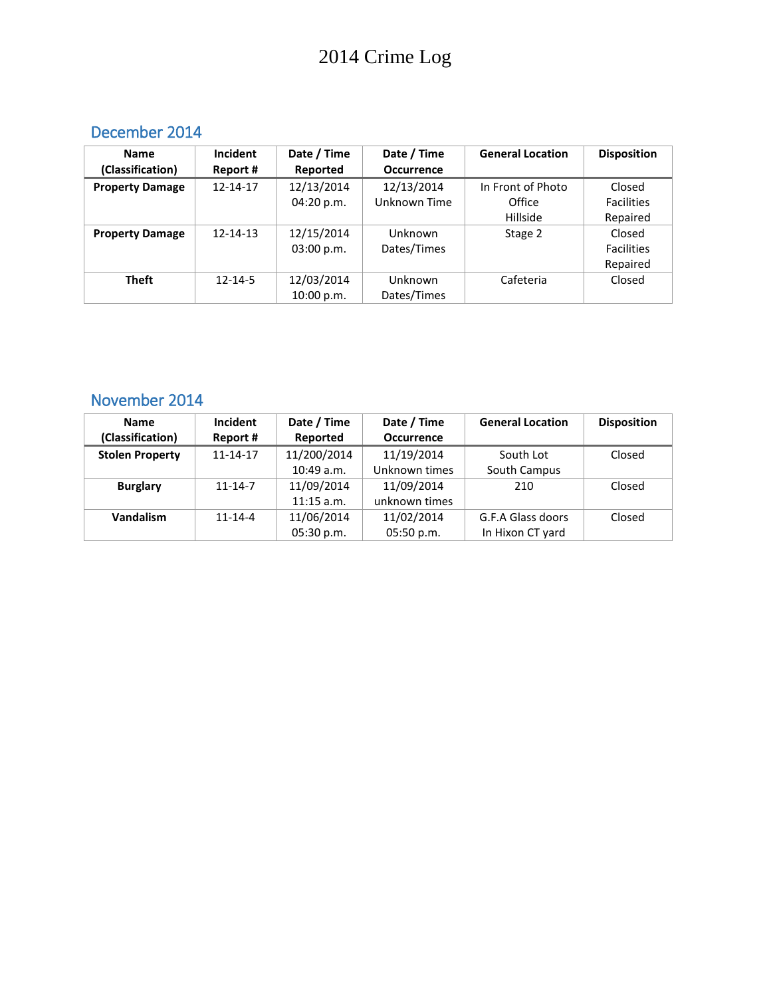# 2014 Crime Log

#### December 2014

| <b>Name</b>            | Incident       | Date / Time | Date / Time       | <b>General Location</b> | <b>Disposition</b> |
|------------------------|----------------|-------------|-------------------|-------------------------|--------------------|
| (Classification)       | Report #       | Reported    | <b>Occurrence</b> |                         |                    |
| <b>Property Damage</b> | 12-14-17       | 12/13/2014  | 12/13/2014        | In Front of Photo       | Closed             |
|                        |                | 04:20 p.m.  | Unknown Time      | Office                  | <b>Facilities</b>  |
|                        |                |             |                   | Hillside                | Repaired           |
| <b>Property Damage</b> | $12 - 14 - 13$ | 12/15/2014  | Unknown           | Stage 2                 | Closed             |
|                        |                | 03:00 p.m.  | Dates/Times       |                         | <b>Facilities</b>  |
|                        |                |             |                   |                         | Repaired           |
| <b>Theft</b>           | $12 - 14 - 5$  | 12/03/2014  | Unknown           | Cafeteria               | Closed             |
|                        |                | 10:00 p.m.  | Dates/Times       |                         |                    |

#### November 2014

| <b>Name</b><br>(Classification) | <b>Incident</b><br>Report # | Date / Time<br>Reported | Date / Time<br><b>Occurrence</b> | <b>General Location</b> | <b>Disposition</b> |
|---------------------------------|-----------------------------|-------------------------|----------------------------------|-------------------------|--------------------|
| <b>Stolen Property</b>          | $11 - 14 - 17$              | 11/200/2014             | 11/19/2014                       | South Lot               | Closed             |
|                                 |                             |                         |                                  |                         |                    |
|                                 |                             | 10:49a.m.               | Unknown times                    | South Campus            |                    |
| <b>Burglary</b>                 | $11 - 14 - 7$               | 11/09/2014              | 11/09/2014                       | 210                     | Closed             |
|                                 |                             | $11:15$ a.m.            | unknown times                    |                         |                    |
| Vandalism                       | $11 - 14 - 4$               | 11/06/2014              | 11/02/2014                       | G.F.A Glass doors       | Closed             |
|                                 |                             | 05:30 p.m.              | 05:50 p.m.                       | In Hixon CT yard        |                    |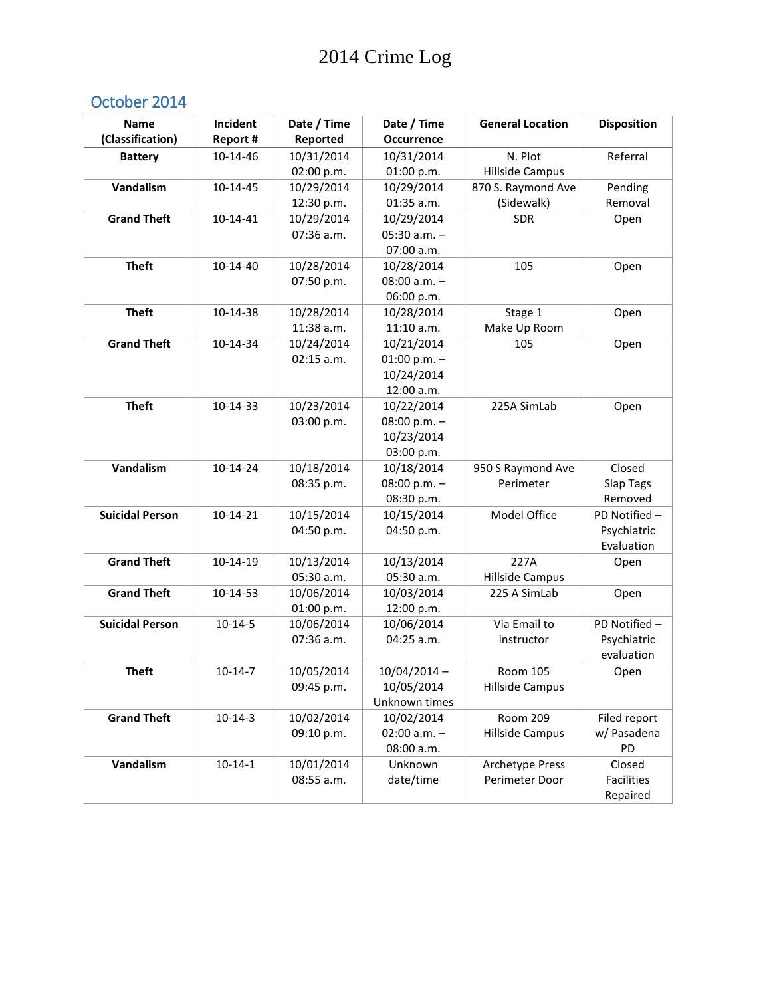## October 2014

| <b>Name</b>            | Incident       | Date / Time              | Date / Time              | <b>General Location</b> | <b>Disposition</b> |
|------------------------|----------------|--------------------------|--------------------------|-------------------------|--------------------|
| (Classification)       | Report #       | Reported                 | <b>Occurrence</b>        |                         |                    |
| <b>Battery</b>         | 10-14-46       | 10/31/2014               | 10/31/2014               | N. Plot                 | Referral           |
|                        |                | 02:00 p.m.               | 01:00 p.m.               | <b>Hillside Campus</b>  |                    |
| Vandalism              | 10-14-45       | 10/29/2014               | 10/29/2014               | 870 S. Raymond Ave      | Pending            |
|                        |                | 12:30 p.m.               | 01:35 a.m.               | (Sidewalk)              | Removal            |
| <b>Grand Theft</b>     | $10 - 14 - 41$ | 10/29/2014               | 10/29/2014               | <b>SDR</b>              | Open               |
|                        |                | 07:36 a.m.               | $05:30$ a.m. $-$         |                         |                    |
|                        |                |                          | 07:00 a.m.               |                         |                    |
| <b>Theft</b>           | 10-14-40       | 10/28/2014               | 10/28/2014               | 105                     | Open               |
|                        |                | 07:50 p.m.               | $08:00 a.m. -$           |                         |                    |
|                        |                |                          | 06:00 p.m.               |                         |                    |
| <b>Theft</b>           | 10-14-38       | 10/28/2014               | 10/28/2014               | Stage 1                 | Open               |
|                        |                | 11:38 a.m.               | 11:10 a.m.               | Make Up Room            |                    |
| <b>Grand Theft</b>     | 10-14-34       | 10/24/2014               | 10/21/2014               | 105                     | Open               |
|                        |                | $02:15$ a.m.             | 01:00 p.m. $-$           |                         |                    |
|                        |                |                          | 10/24/2014               |                         |                    |
|                        |                |                          | 12:00 a.m.               |                         |                    |
| <b>Theft</b>           | 10-14-33       | 10/23/2014               | 10/22/2014               | 225A SimLab             | Open               |
|                        |                | 03:00 p.m.               | 08:00 p.m. $-$           |                         |                    |
|                        |                |                          | 10/23/2014               |                         |                    |
|                        |                |                          | 03:00 p.m.               |                         |                    |
| Vandalism              | 10-14-24       | 10/18/2014               | 10/18/2014               | 950 S Raymond Ave       | Closed             |
|                        |                | 08:35 p.m.               | 08:00 p.m. $-$           | Perimeter               | Slap Tags          |
|                        |                |                          | 08:30 p.m.               |                         | Removed            |
| <b>Suicidal Person</b> | $10-14-21$     | 10/15/2014               | 10/15/2014               | Model Office            | PD Notified -      |
|                        |                | 04:50 p.m.               | 04:50 p.m.               |                         | Psychiatric        |
|                        |                |                          |                          |                         | Evaluation         |
| <b>Grand Theft</b>     | 10-14-19       | 10/13/2014               | 10/13/2014               | 227A                    | Open               |
|                        |                | 05:30 a.m.               | 05:30 a.m.               | <b>Hillside Campus</b>  |                    |
| <b>Grand Theft</b>     | 10-14-53       | 10/06/2014               | 10/03/2014               | 225 A SimLab            | Open               |
| <b>Suicidal Person</b> | $10 - 14 - 5$  | 01:00 p.m.<br>10/06/2014 | 12:00 p.m.<br>10/06/2014 | Via Email to            | PD Notified -      |
|                        |                | 07:36 a.m.               | 04:25 a.m.               | instructor              | Psychiatric        |
|                        |                |                          |                          |                         | evaluation         |
| <b>Theft</b>           | $10-14-7$      | 10/05/2014               | $10/04/2014 -$           | Room 105                |                    |
|                        |                | 09:45 p.m.               | 10/05/2014               | <b>Hillside Campus</b>  | Open               |
|                        |                |                          | Unknown times            |                         |                    |
| <b>Grand Theft</b>     | $10-14-3$      | 10/02/2014               | 10/02/2014               | <b>Room 209</b>         | Filed report       |
|                        |                | 09:10 p.m.               | 02:00 $a.m. -$           | Hillside Campus         | w/ Pasadena        |
|                        |                |                          | 08:00 a.m.               |                         | PD                 |
| Vandalism              | $10 - 14 - 1$  | 10/01/2014               | Unknown                  | <b>Archetype Press</b>  | Closed             |
|                        |                | 08:55 a.m.               | date/time                | Perimeter Door          | <b>Facilities</b>  |
|                        |                |                          |                          |                         | Repaired           |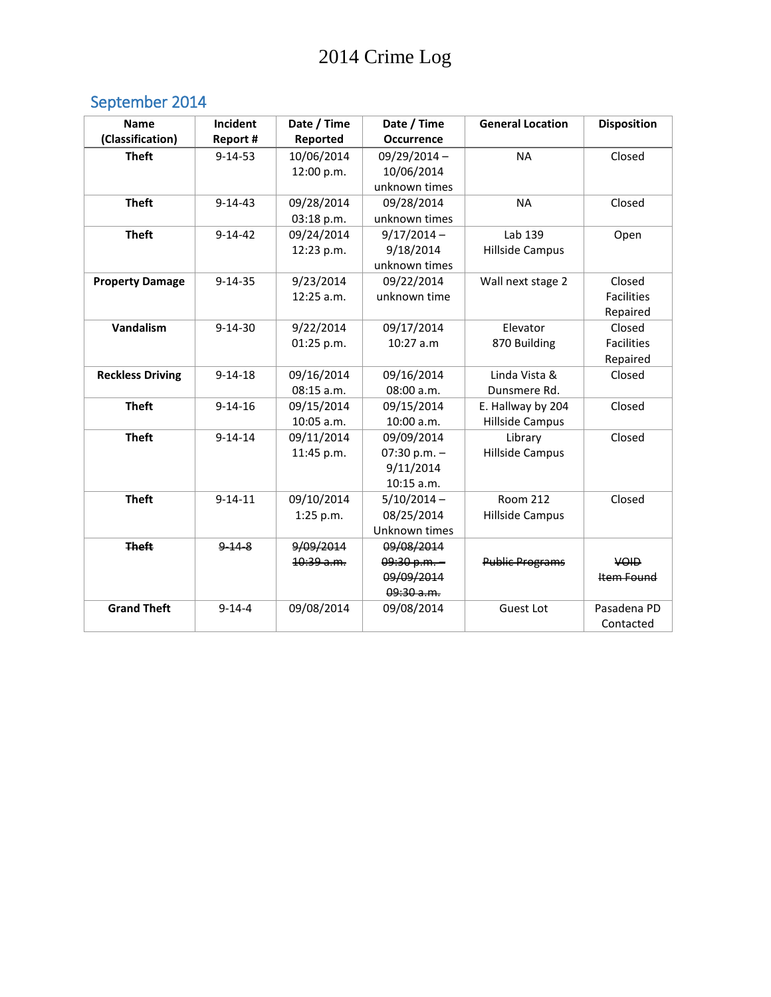# September 2014

| <b>Name</b>             | Incident      | Date / Time  | Date / Time       | <b>General Location</b> | <b>Disposition</b> |
|-------------------------|---------------|--------------|-------------------|-------------------------|--------------------|
| (Classification)        | Report #      | Reported     | <b>Occurrence</b> |                         |                    |
| <b>Theft</b>            | $9 - 14 - 53$ | 10/06/2014   | $09/29/2014 -$    | <b>NA</b>               | Closed             |
|                         |               | 12:00 p.m.   | 10/06/2014        |                         |                    |
|                         |               |              | unknown times     |                         |                    |
| <b>Theft</b>            | $9 - 14 - 43$ | 09/28/2014   | 09/28/2014        | <b>NA</b>               | Closed             |
|                         |               | 03:18 p.m.   | unknown times     |                         |                    |
| <b>Theft</b>            | $9 - 14 - 42$ | 09/24/2014   | $9/17/2014 -$     | Lab 139                 | Open               |
|                         |               | 12:23 p.m.   | 9/18/2014         | <b>Hillside Campus</b>  |                    |
|                         |               |              | unknown times     |                         |                    |
| <b>Property Damage</b>  | $9 - 14 - 35$ | 9/23/2014    | 09/22/2014        | Wall next stage 2       | Closed             |
|                         |               | $12:25$ a.m. | unknown time      |                         | <b>Facilities</b>  |
|                         |               |              |                   |                         | Repaired           |
| Vandalism               | $9 - 14 - 30$ | 9/22/2014    | 09/17/2014        | Elevator                | Closed             |
|                         |               | 01:25 p.m.   | $10:27$ a.m       | 870 Building            | <b>Facilities</b>  |
|                         |               |              |                   |                         | Repaired           |
| <b>Reckless Driving</b> | $9 - 14 - 18$ | 09/16/2014   | 09/16/2014        | Linda Vista &           | Closed             |
|                         |               | 08:15 a.m.   | 08:00 a.m.        | Dunsmere Rd.            |                    |
| <b>Theft</b>            | $9 - 14 - 16$ | 09/15/2014   | 09/15/2014        | E. Hallway by 204       | Closed             |
|                         |               | 10:05 a.m.   | 10:00 a.m.        | <b>Hillside Campus</b>  |                    |
| <b>Theft</b>            | $9 - 14 - 14$ | 09/11/2014   | 09/09/2014        | Library                 | Closed             |
|                         |               | 11:45 p.m.   | 07:30 p.m. $-$    | <b>Hillside Campus</b>  |                    |
|                         |               |              | 9/11/2014         |                         |                    |
|                         |               |              | $10:15$ a.m.      |                         |                    |
| <b>Theft</b>            | $9 - 14 - 11$ | 09/10/2014   | $5/10/2014 -$     | <b>Room 212</b>         | Closed             |
|                         |               | 1:25 p.m.    | 08/25/2014        | <b>Hillside Campus</b>  |                    |
|                         |               |              | Unknown times     |                         |                    |
| <b>Theft</b>            | $9 - 14 - 8$  | 9/09/2014    | 09/08/2014        |                         |                    |
|                         |               | 10:39 a.m.   | $09:30 p.m. -$    | <b>Public Programs</b>  | <b>VOID</b>        |
|                         |               |              | 09/09/2014        |                         | Item Found         |
|                         |               |              | 09:30a.m.         |                         |                    |
| <b>Grand Theft</b>      | $9 - 14 - 4$  | 09/08/2014   | 09/08/2014        | <b>Guest Lot</b>        | Pasadena PD        |
|                         |               |              |                   |                         | Contacted          |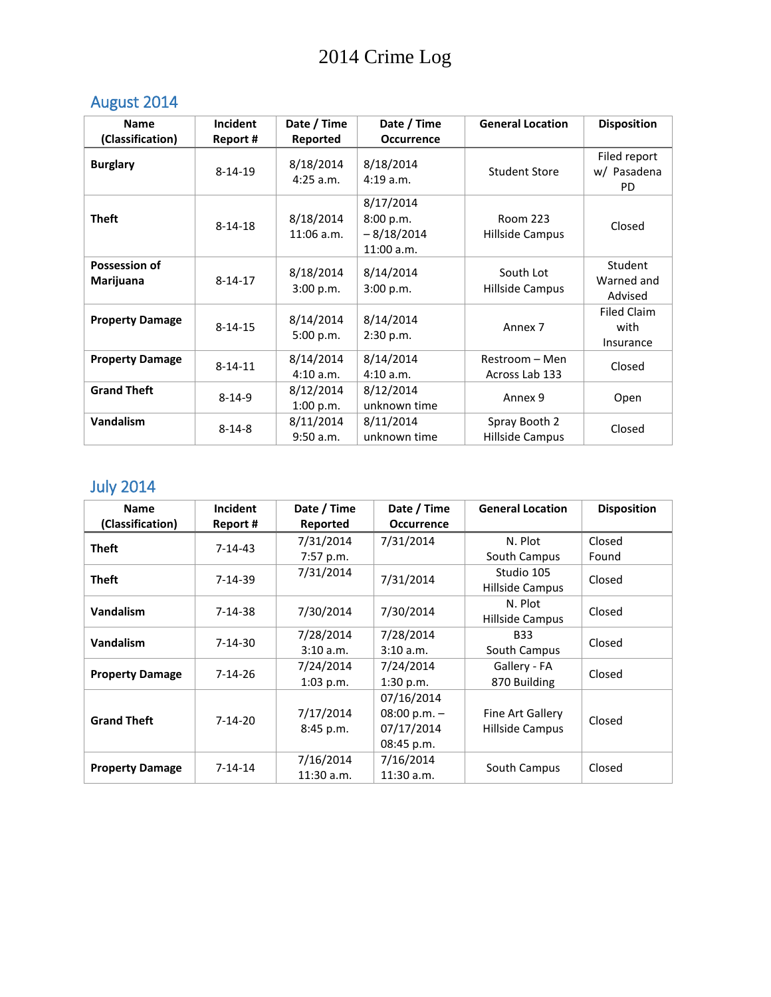# August 2014

| <b>Name</b>                       | <b>Incident</b> | Date / Time               | Date / Time                                            | <b>General Location</b>            | <b>Disposition</b>                      |
|-----------------------------------|-----------------|---------------------------|--------------------------------------------------------|------------------------------------|-----------------------------------------|
| (Classification)                  | Report#         | Reported                  | <b>Occurrence</b>                                      |                                    |                                         |
| <b>Burglary</b>                   | $8 - 14 - 19$   | 8/18/2014<br>$4:25$ a.m.  | 8/18/2014<br>4:19a.m.                                  | <b>Student Store</b>               | Filed report<br>w/ Pasadena<br>PD.      |
| <b>Theft</b>                      | $8 - 14 - 18$   | 8/18/2014<br>$11:06$ a.m. | 8/17/2014<br>8:00 p.m.<br>$-8/18/2014$<br>$11:00$ a.m. | <b>Room 223</b><br>Hillside Campus | Closed                                  |
| <b>Possession of</b><br>Marijuana | $8 - 14 - 17$   | 8/18/2014<br>3:00 p.m.    | 8/14/2014<br>3:00 p.m.                                 | South Lot<br>Hillside Campus       | Student<br>Warned and<br>Advised        |
| <b>Property Damage</b>            | $8 - 14 - 15$   | 8/14/2014<br>5:00 p.m.    | 8/14/2014<br>2:30 p.m.                                 | Annex <sub>7</sub>                 | <b>Filed Claim</b><br>with<br>Insurance |
| <b>Property Damage</b>            | $8 - 14 - 11$   | 8/14/2014<br>4:10 a.m.    | 8/14/2014<br>4:10 a.m.                                 | Restroom - Men<br>Across Lab 133   | Closed                                  |
| <b>Grand Theft</b>                | $8 - 14 - 9$    | 8/12/2014<br>1:00 p.m.    | 8/12/2014<br>unknown time                              | Annex 9                            | Open                                    |
| <b>Vandalism</b>                  | $8 - 14 - 8$    | 8/11/2014<br>9:50 a.m.    | 8/11/2014<br>unknown time                              | Spray Booth 2<br>Hillside Campus   | Closed                                  |

# July 2014

| <b>Name</b>            | Incident      | Date / Time  | Date / Time       | <b>General Location</b> | <b>Disposition</b> |
|------------------------|---------------|--------------|-------------------|-------------------------|--------------------|
| (Classification)       | Report #      | Reported     | <b>Occurrence</b> |                         |                    |
| <b>Theft</b>           | $7-14-43$     | 7/31/2014    | 7/31/2014         | N. Plot                 | Closed             |
|                        |               | 7:57 p.m.    |                   | South Campus            | Found              |
| <b>Theft</b>           | $7-14-39$     | 7/31/2014    | 7/31/2014         | Studio 105              | Closed             |
|                        |               |              |                   | Hillside Campus         |                    |
| Vandalism              | $7-14-38$     | 7/30/2014    | 7/30/2014         | N. Plot                 | Closed             |
|                        |               |              |                   | Hillside Campus         |                    |
| Vandalism              | $7-14-30$     | 7/28/2014    | 7/28/2014         | <b>B33</b>              | Closed             |
|                        |               | 3:10 a.m.    | 3:10 a.m.         | South Campus            |                    |
|                        | $7-14-26$     | 7/24/2014    | 7/24/2014         | Gallery - FA            | Closed             |
| <b>Property Damage</b> |               | $1:03$ p.m.  | 1:30 p.m.         | 870 Building            |                    |
|                        |               |              | 07/16/2014        |                         |                    |
| <b>Grand Theft</b>     | $7 - 14 - 20$ | 7/17/2014    | 08:00 p.m. $-$    | Fine Art Gallery        | Closed             |
|                        |               | 8:45 p.m.    | 07/17/2014        | Hillside Campus         |                    |
|                        |               |              | 08:45 p.m.        |                         |                    |
|                        | $7 - 14 - 14$ | 7/16/2014    | 7/16/2014         |                         |                    |
| <b>Property Damage</b> |               | $11:30$ a.m. | $11:30$ a.m.      | South Campus            | Closed             |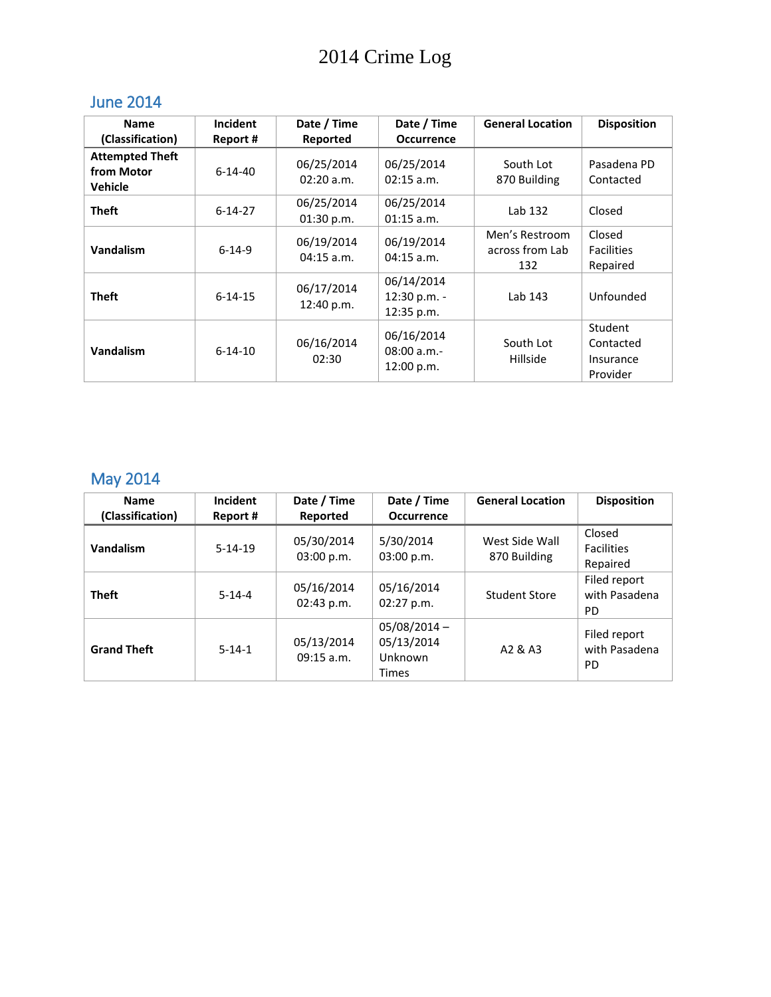## June 2014

| <b>Name</b>                                            | Incident      | Date / Time                | Date / Time                              | <b>General Location</b>                  | <b>Disposition</b>                            |
|--------------------------------------------------------|---------------|----------------------------|------------------------------------------|------------------------------------------|-----------------------------------------------|
| (Classification)                                       | Report #      | Reported                   | <b>Occurrence</b>                        |                                          |                                               |
| <b>Attempted Theft</b><br>from Motor<br><b>Vehicle</b> | $6 - 14 - 40$ | 06/25/2014<br>02:20 a.m.   | 06/25/2014<br>$02:15$ a.m.               | South Lot<br>870 Building                | Pasadena PD<br>Contacted                      |
| <b>Theft</b>                                           | $6 - 14 - 27$ | 06/25/2014<br>01:30 p.m.   | 06/25/2014<br>$01:15$ a.m.               | Lab 132                                  | Closed                                        |
| <b>Vandalism</b>                                       | $6 - 14 - 9$  | 06/19/2014<br>$04:15$ a.m. | 06/19/2014<br>$04:15$ a.m.               | Men's Restroom<br>across from Lab<br>132 | Closed<br><b>Facilities</b><br>Repaired       |
| <b>Theft</b>                                           | $6 - 14 - 15$ | 06/17/2014<br>12:40 p.m.   | 06/14/2014<br>12:30 p.m. -<br>12:35 p.m. | Lab 143                                  | Unfounded                                     |
| <b>Vandalism</b>                                       | $6 - 14 - 10$ | 06/16/2014<br>02:30        | 06/16/2014<br>08:00 a.m.<br>12:00 p.m.   | South Lot<br><b>Hillside</b>             | Student<br>Contacted<br>Insurance<br>Provider |

# May 2014

| <b>Name</b>        | Incident     | Date / Time                | Date / Time                                             | <b>General Location</b>        | <b>Disposition</b>                         |
|--------------------|--------------|----------------------------|---------------------------------------------------------|--------------------------------|--------------------------------------------|
| (Classification)   | Report #     | Reported                   | <b>Occurrence</b>                                       |                                |                                            |
| Vandalism          | $5-14-19$    | 05/30/2014<br>03:00 p.m.   | 5/30/2014<br>03:00 p.m.                                 | West Side Wall<br>870 Building | Closed<br><b>Facilities</b><br>Repaired    |
| <b>Theft</b>       | $5 - 14 - 4$ | 05/16/2014<br>02:43 p.m.   | 05/16/2014<br>$02:27$ p.m.                              | Student Store                  | Filed report<br>with Pasadena<br><b>PD</b> |
| <b>Grand Theft</b> | $5 - 14 - 1$ | 05/13/2014<br>$09:15$ a.m. | $05/08/2014 -$<br>05/13/2014<br>Unknown<br><b>Times</b> | A2 & A3                        | Filed report<br>with Pasadena<br><b>PD</b> |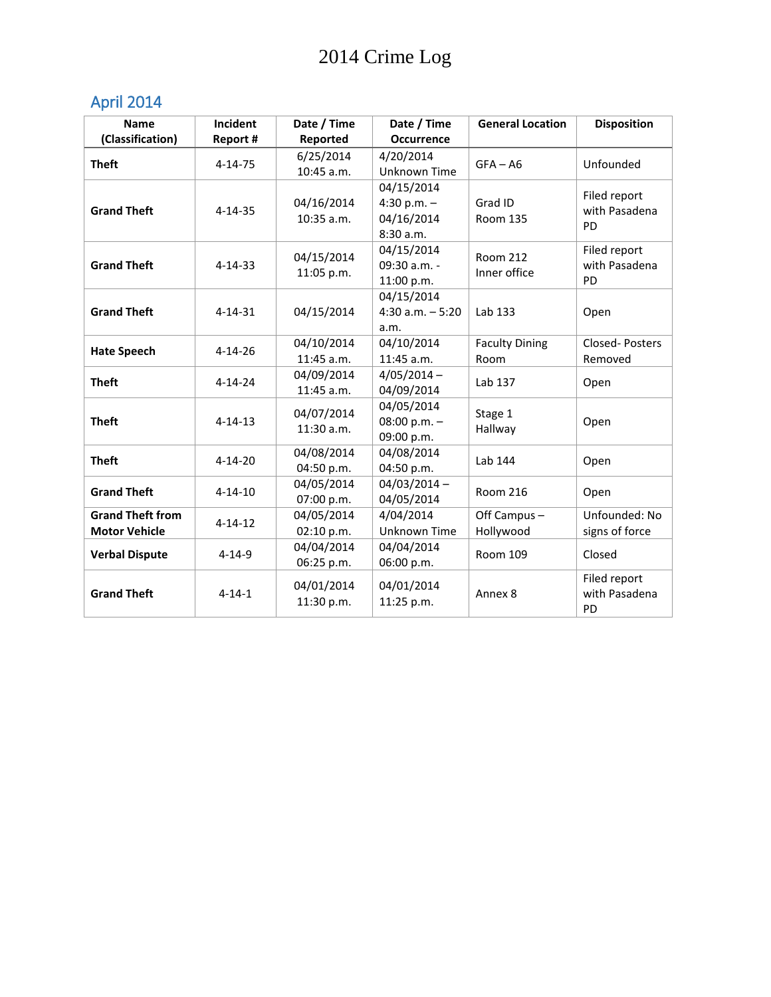# April 2014

| <b>Name</b>             | Incident      | Date / Time | Date / Time         | <b>General Location</b>                                                                                         | <b>Disposition</b> |
|-------------------------|---------------|-------------|---------------------|-----------------------------------------------------------------------------------------------------------------|--------------------|
| (Classification)        | Report #      | Reported    | <b>Occurrence</b>   |                                                                                                                 |                    |
| <b>Theft</b>            | $4 - 14 - 75$ | 6/25/2014   | 4/20/2014           | $GFA - AG$                                                                                                      | Unfounded          |
|                         |               | 10:45 a.m.  | <b>Unknown Time</b> |                                                                                                                 |                    |
|                         |               |             | 04/15/2014          |                                                                                                                 | Filed report       |
| <b>Grand Theft</b>      | $4 - 14 - 35$ | 04/16/2014  | 4:30 p.m. $-$       | Grad ID                                                                                                         | with Pasadena      |
|                         |               | 10:35 a.m.  | 04/16/2014          | <b>Room 135</b>                                                                                                 | PD                 |
|                         |               |             | 8:30 a.m.           |                                                                                                                 |                    |
|                         |               | 04/15/2014  | 04/15/2014          | <b>Room 212</b>                                                                                                 | Filed report       |
| <b>Grand Theft</b>      | $4 - 14 - 33$ | 11:05 p.m.  | 09:30 a.m. -        |                                                                                                                 | with Pasadena      |
|                         |               |             | 11:00 p.m.          |                                                                                                                 | PD                 |
|                         |               |             | 04/15/2014          |                                                                                                                 |                    |
| <b>Grand Theft</b>      | $4 - 14 - 31$ | 04/15/2014  | $4:30$ a.m. $-5:20$ |                                                                                                                 | Open               |
|                         |               |             | a.m.                |                                                                                                                 |                    |
| <b>Hate Speech</b>      | $4 - 14 - 26$ | 04/10/2014  | 04/10/2014          |                                                                                                                 | Closed-Posters     |
|                         |               | 11:45 a.m.  | 11:45 a.m.          | Room                                                                                                            | Removed            |
| <b>Theft</b>            | $4 - 14 - 24$ | 04/09/2014  | $4/05/2014 -$       |                                                                                                                 | Open               |
|                         |               | 11:45 a.m.  | 04/09/2014          |                                                                                                                 |                    |
|                         |               | 04/07/2014  | 04/05/2014          |                                                                                                                 |                    |
| <b>Theft</b>            | $4 - 14 - 13$ | 11:30 a.m.  | 08:00 p.m. $-$      |                                                                                                                 | Open               |
|                         |               |             | 09:00 p.m.          | Inner office<br>Lab 133<br><b>Faculty Dining</b><br>Lab 137<br>Stage 1<br>Hallway<br>Lab 144<br><b>Room 216</b> |                    |
| <b>Theft</b>            | $4 - 14 - 20$ | 04/08/2014  | 04/08/2014          |                                                                                                                 | Open               |
|                         |               | 04:50 p.m.  | 04:50 p.m.          |                                                                                                                 |                    |
| <b>Grand Theft</b>      | $4 - 14 - 10$ | 04/05/2014  | $04/03/2014 -$      |                                                                                                                 | Open               |
|                         |               | 07:00 p.m.  | 04/05/2014          |                                                                                                                 |                    |
| <b>Grand Theft from</b> | $4 - 14 - 12$ | 04/05/2014  | 4/04/2014           | Off Campus -                                                                                                    | Unfounded: No      |
| <b>Motor Vehicle</b>    |               | 02:10 p.m.  | Unknown Time        | Hollywood                                                                                                       | signs of force     |
| <b>Verbal Dispute</b>   | $4 - 14 - 9$  | 04/04/2014  | 04/04/2014          | Room 109                                                                                                        | Closed             |
|                         |               | 06:25 p.m.  | 06:00 p.m.          |                                                                                                                 |                    |
|                         |               | 04/01/2014  | 04/01/2014          |                                                                                                                 | Filed report       |
| <b>Grand Theft</b>      | $4 - 14 - 1$  | 11:30 p.m.  | 11:25 p.m.          | Annex 8                                                                                                         | with Pasadena      |
|                         |               |             |                     |                                                                                                                 | <b>PD</b>          |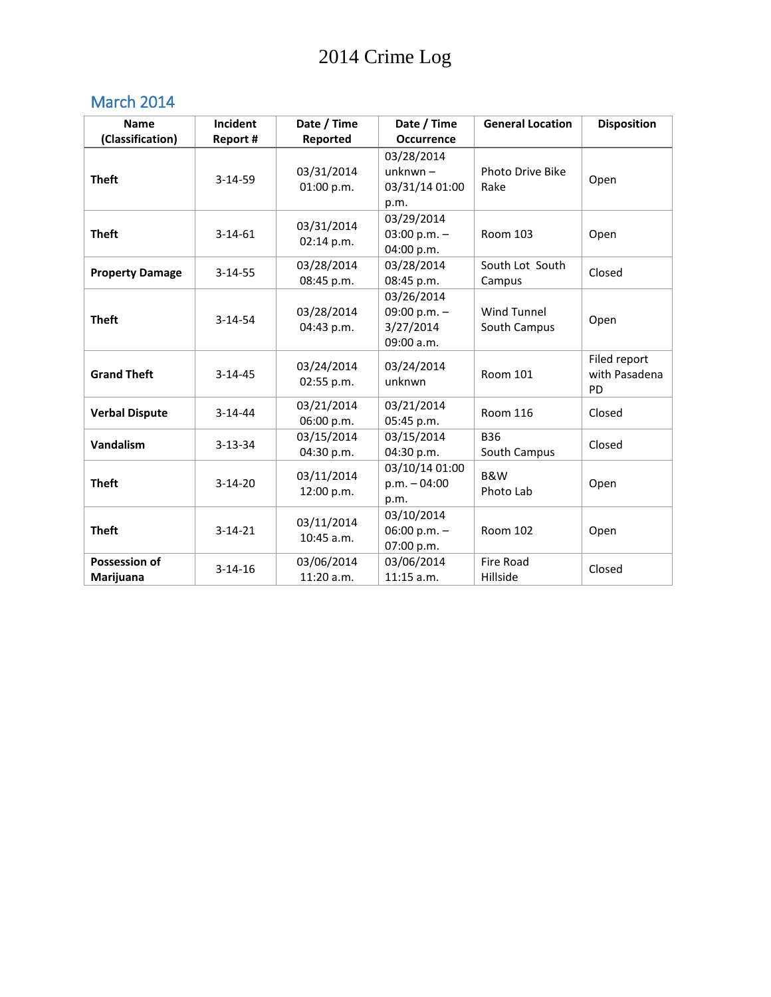## March 2014

| <b>Name</b>                | Incident      | Date / Time                | Date / Time                                             | <b>General Location</b>            | <b>Disposition</b>                  |
|----------------------------|---------------|----------------------------|---------------------------------------------------------|------------------------------------|-------------------------------------|
| (Classification)           | Report #      | Reported                   | <b>Occurrence</b>                                       |                                    |                                     |
| <b>Theft</b>               | $3-14-59$     | 03/31/2014<br>01:00 p.m.   | 03/28/2014<br>$unknwn -$<br>03/31/14 01:00<br>p.m.      | Photo Drive Bike<br>Rake           | Open                                |
| <b>Theft</b>               | $3-14-61$     | 03/31/2014<br>02:14 p.m.   | 03/29/2014<br>03:00 p.m. $-$<br>04:00 p.m.              | <b>Room 103</b>                    | Open                                |
| <b>Property Damage</b>     | $3 - 14 - 55$ | 03/28/2014<br>08:45 p.m.   | 03/28/2014<br>08:45 p.m.                                | South Lot South<br>Campus          | Closed                              |
| <b>Theft</b>               | $3-14-54$     | 03/28/2014<br>04:43 p.m.   | 03/26/2014<br>09:00 p.m. $-$<br>3/27/2014<br>09:00 a.m. | <b>Wind Tunnel</b><br>South Campus | Open                                |
| <b>Grand Theft</b>         | $3 - 14 - 45$ | 03/24/2014<br>02:55 p.m.   | 03/24/2014<br>unknwn                                    | Room 101                           | Filed report<br>with Pasadena<br>PD |
| <b>Verbal Dispute</b>      | $3 - 14 - 44$ | 03/21/2014<br>06:00 p.m.   | 03/21/2014<br>05:45 p.m.                                | <b>Room 116</b>                    | Closed                              |
| Vandalism                  | $3 - 13 - 34$ | 03/15/2014<br>04:30 p.m.   | 03/15/2014<br>04:30 p.m.                                | <b>B36</b><br>South Campus         | Closed                              |
| <b>Theft</b>               | $3-14-20$     | 03/11/2014<br>12:00 p.m.   | 03/10/14 01:00<br>$p.m. -04:00$<br>p.m.                 | <b>B&amp;W</b><br>Photo Lab        | Open                                |
| <b>Theft</b>               | $3 - 14 - 21$ | 03/11/2014<br>$10:45$ a.m. | 03/10/2014<br>06:00 p.m. $-$<br>07:00 p.m.              | <b>Room 102</b>                    | Open                                |
| Possession of<br>Marijuana | $3-14-16$     | 03/06/2014<br>11:20 a.m.   | 03/06/2014<br>$11:15$ a.m.                              | Fire Road<br>Hillside              | Closed                              |